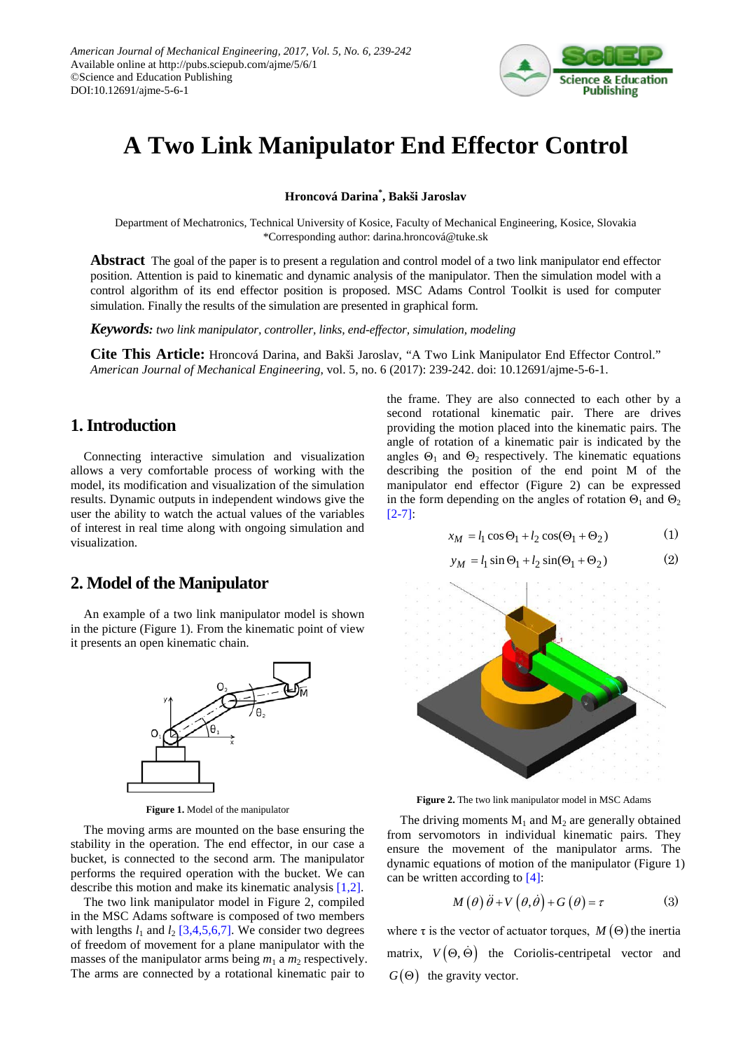

# **A Two Link Manipulator End Effector Control**

**Hroncová Darina\* , Bakši Jaroslav**

Department of Mechatronics, Technical University of Kosice, Faculty of Mechanical Engineering, Kosice, Slovakia \*Corresponding author: darina.hroncová@tuke.sk

**Abstract** The goal of the paper is to present a regulation and control model of a two link manipulator end effector position. Attention is paid to kinematic and dynamic analysis of the manipulator. Then the simulation model with a control algorithm of its end effector position is proposed. MSC Adams Control Toolkit is used for computer simulation. Finally the results of the simulation are presented in graphical form.

*Keywords: two link manipulator, controller, links, end-effector, simulation, modeling*

**Cite This Article:** Hroncová Darina, and Bakši Jaroslav, "A Two Link Manipulator End Effector Control." *American Journal of Mechanical Engineering*, vol. 5, no. 6 (2017): 239-242. doi: 10.12691/ajme-5-6-1.

## **1. Introduction**

Connecting interactive simulation and visualization allows a very comfortable process of working with the model, its modification and visualization of the simulation results. Dynamic outputs in independent windows give the user the ability to watch the actual values of the variables of interest in real time along with ongoing simulation and visualization.

#### **2. Model of the Manipulator**

An example of a two link manipulator model is shown in the picture (Figure 1). From the kinematic point of view it presents an open kinematic chain.



**Figure 1.** Model of the manipulator

The moving arms are mounted on the base ensuring the stability in the operation. The end effector, in our case a bucket, is connected to the second arm. The manipulator performs the required operation with the bucket. We can describe this motion and make its kinematic analysis [\[1,2\].](#page-3-0)

The two link manipulator model in Figure 2, compiled in the MSC Adams software is composed of two members with lengths  $l_1$  and  $l_2$  [\[3,4,5,6,7\].](#page-3-1) We consider two degrees of freedom of movement for a plane manipulator with the masses of the manipulator arms being  $m_1$  a  $m_2$  respectively. The arms are connected by a rotational kinematic pair to

the frame. They are also connected to each other by a second rotational kinematic pair. There are drives providing the motion placed into the kinematic pairs. The angle of rotation of a kinematic pair is indicated by the angles  $\Theta_1$  and  $\Theta_2$  respectively. The kinematic equations describing the position of the end point M of the manipulator end effector (Figure 2) can be expressed in the form depending on the angles of rotation  $\Theta_1$  and  $\Theta_2$ [\[2-7\]:](#page-3-2)

$$
x_M = l_1 \cos \Theta_1 + l_2 \cos(\Theta_1 + \Theta_2) \tag{1}
$$

$$
y_M = l_1 \sin \Theta_1 + l_2 \sin(\Theta_1 + \Theta_2)
$$
 (2)



**Figure 2.** The two link manipulator model in MSC Adams

The driving moments  $M_1$  and  $M_2$  are generally obtained from servomotors in individual kinematic pairs. They ensure the movement of the manipulator arms. The dynamic equations of motion of the manipulator (Figure 1) can be written according to [\[4\]:](#page-3-3)

$$
M(\theta)\ddot{\theta} + V(\theta,\dot{\theta}) + G(\theta) = \tau
$$
 (3)

where  $\tau$  is the vector of actuator torques,  $M(\Theta)$  the inertia matrix,  $V(\Theta, \dot{\Theta})$  the Coriolis-centripetal vector and  $G(\Theta)$  the gravity vector.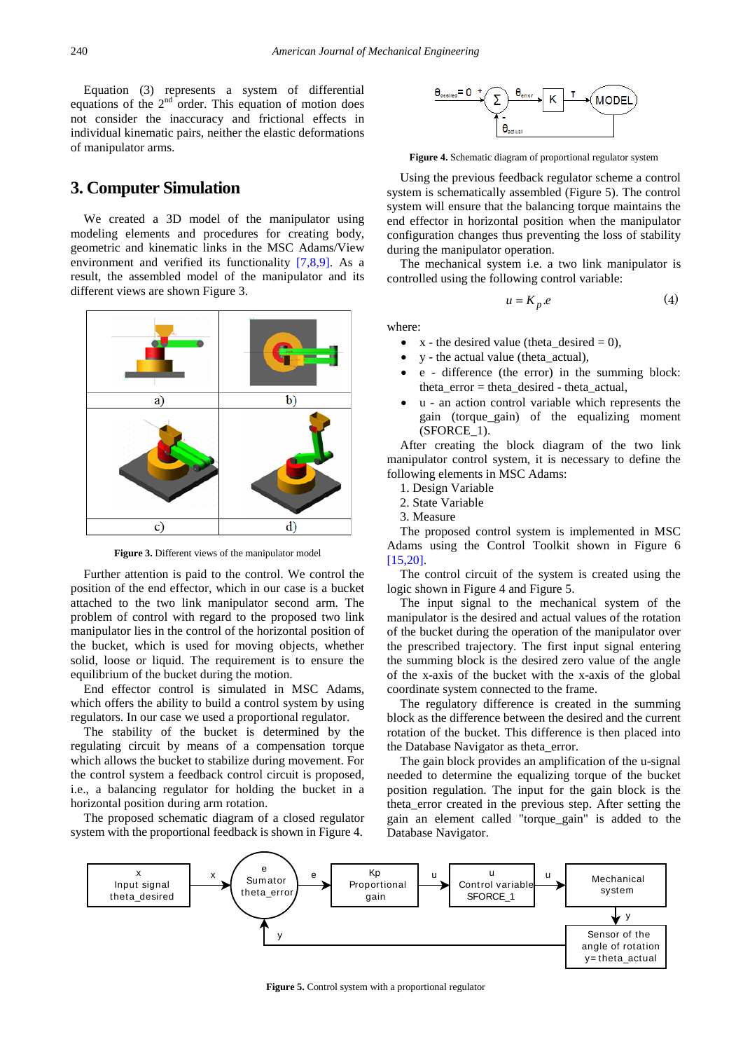Equation (3) represents a system of differential equations of the  $2<sup>nd</sup>$  order. This equation of motion does not consider the inaccuracy and frictional effects in individual kinematic pairs, neither the elastic deformations of manipulator arms.

#### **3. Computer Simulation**

We created a 3D model of the manipulator using modeling elements and procedures for creating body, geometric and kinematic links in the MSC Adams/View environment and verified its functionality [\[7,8,9\].](#page-3-4) As a result, the assembled model of the manipulator and its different views are shown Figure 3.



**Figure 3.** Different views of the manipulator model

Further attention is paid to the control. We control the position of the end effector, which in our case is a bucket attached to the two link manipulator second arm. The problem of control with regard to the proposed two link manipulator lies in the control of the horizontal position of the bucket, which is used for moving objects, whether solid, loose or liquid. The requirement is to ensure the equilibrium of the bucket during the motion.

End effector control is simulated in MSC Adams, which offers the ability to build a control system by using regulators. In our case we used a proportional regulator.

The stability of the bucket is determined by the regulating circuit by means of a compensation torque which allows the bucket to stabilize during movement. For the control system a feedback control circuit is proposed, i.e., a balancing regulator for holding the bucket in a horizontal position during arm rotation.

The proposed schematic diagram of a closed regulator system with the proportional feedback is shown in Figure 4.



**Figure 4.** Schematic diagram of proportional regulator system

Using the previous feedback regulator scheme a control system is schematically assembled (Figure 5). The control system will ensure that the balancing torque maintains the end effector in horizontal position when the manipulator configuration changes thus preventing the loss of stability during the manipulator operation.

The mechanical system i.e. a two link manipulator is controlled using the following control variable:

$$
u = K_p.e \tag{4}
$$

where:

- $x -$  the desired value (theta\_desired = 0),
- y the actual value (theta\_actual),
- e difference (the error) in the summing block: theta\_error = theta\_desired - theta\_actual,
- u an action control variable which represents the gain (torque\_gain) of the equalizing moment (SFORCE\_1).

After creating the block diagram of the two link manipulator control system, it is necessary to define the following elements in MSC Adams:

- 1. Design Variable
- 2. State Variable
- 3. Measure

The proposed control system is implemented in MSC Adams using the Control Toolkit shown in Figure 6 [\[15,20\].](#page-3-5)

The control circuit of the system is created using the logic shown in Figure 4 and Figure 5.

The input signal to the mechanical system of the manipulator is the desired and actual values of the rotation of the bucket during the operation of the manipulator over the prescribed trajectory. The first input signal entering the summing block is the desired zero value of the angle of the x-axis of the bucket with the x-axis of the global coordinate system connected to the frame.

The regulatory difference is created in the summing block as the difference between the desired and the current rotation of the bucket. This difference is then placed into the Database Navigator as theta\_error.

The gain block provides an amplification of the u-signal needed to determine the equalizing torque of the bucket position regulation. The input for the gain block is the theta\_error created in the previous step. After setting the gain an element called "torque\_gain" is added to the Database Navigator.



**Figure 5.** Control system with a proportional regulator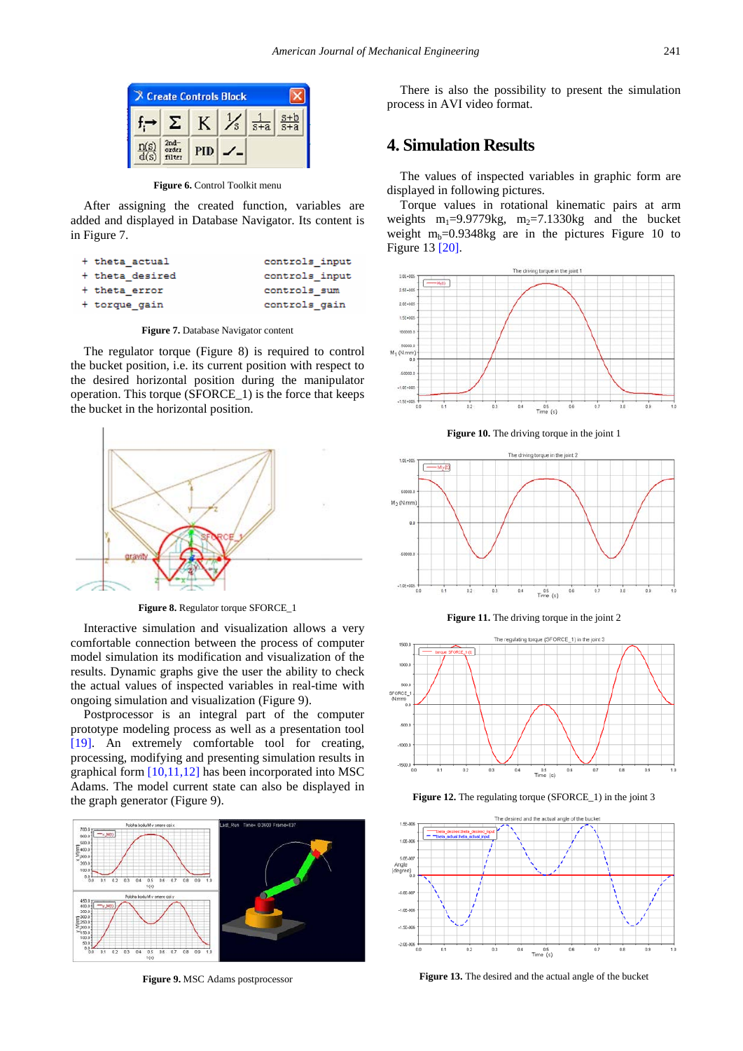

**Figure 6.** Control Toolkit menu

After assigning the created function, variables are added and displayed in Database Navigator. Its content is in Figure 7.

| + theta actual  | controls input |
|-----------------|----------------|
| + theta desired | controls input |
| + theta error   | controls sum   |
| + torque gain   | controls gain  |
|                 |                |

**Figure 7.** Database Navigator content

The regulator torque (Figure 8) is required to control the bucket position, i.e. its current position with respect to the desired horizontal position during the manipulator operation. This torque (SFORCE\_1) is the force that keeps the bucket in the horizontal position.



**Figure 8.** Regulator torque SFORCE\_1

Interactive simulation and visualization allows a very comfortable connection between the process of computer model simulation its modification and visualization of the results. Dynamic graphs give the user the ability to check the actual values of inspected variables in real-time with ongoing simulation and visualization (Figure 9).

Postprocessor is an integral part of the computer prototype modeling process as well as a presentation tool [\[19\].](#page-3-6) An extremely comfortable tool for creating, processing, modifying and presenting simulation results in graphical form [\[10,11,12\]](#page-3-7) has been incorporated into MSC Adams. The model current state can also be displayed in the graph generator (Figure 9).



**Figure 9.** MSC Adams postprocessor

There is also the possibility to present the simulation process in AVI video format.

## **4. Simulation Results**

The values of inspected variables in graphic form are displayed in following pictures.

Torque values in rotational kinematic pairs at arm weights  $m_1=9.9779kg$ ,  $m_2=7.1330kg$  and the bucket weight  $m_b=0.9348$ kg are in the pictures Figure 10 to Figure 13 [\[20\].](#page-3-8)



**Figure 10.** The driving torque in the joint 1



**Figure 11.** The driving torque in the joint 2



**Figure 12.** The regulating torque (SFORCE\_1) in the joint 3



**Figure 13.** The desired and the actual angle of the bucket